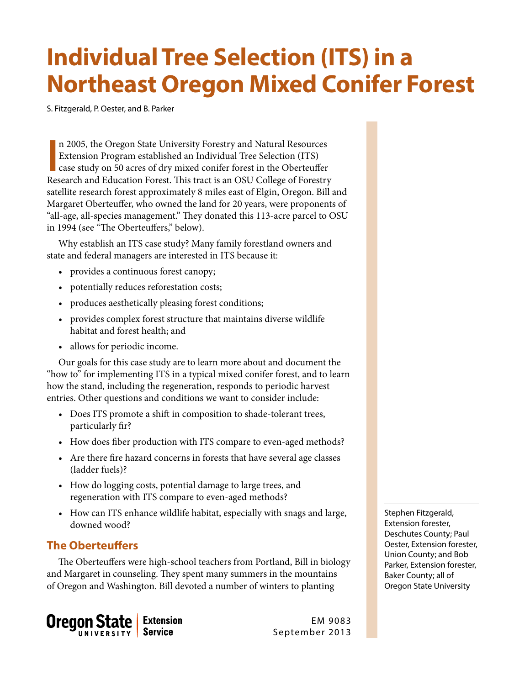# **Individual Tree Selection (ITS) in a Northeast Oregon Mixed Conifer Forest**

S. Fitzgerald, P. Oester, and B. Parker

In 2005, the Oregon State University Forestry and Natural Resources Extension Program established an Individual Tree Selection (ITS) case study on 50 acres of dry mixed conifer forest in the Oberteuffer Research and Educat n 2005, the Oregon State University Forestry and Natural Resources Extension Program established an Individual Tree Selection (ITS) case study on 50 acres of dry mixed conifer forest in the Oberteuffer satellite research forest approximately 8 miles east of Elgin, Oregon. Bill and Margaret Oberteuffer, who owned the land for 20 years, were proponents of "all-age, all-species management." They donated this 113-acre parcel to OSU in 1994 (see "The Oberteuffers," below).

Why establish an ITS case study? Many family forestland owners and state and federal managers are interested in ITS because it:

- provides a continuous forest canopy;
- potentially reduces reforestation costs;
- produces aesthetically pleasing forest conditions;
- provides complex forest structure that maintains diverse wildlife habitat and forest health; and
- allows for periodic income.

Our goals for this case study are to learn more about and document the "how to" for implementing ITS in a typical mixed conifer forest, and to learn how the stand, including the regeneration, responds to periodic harvest entries. Other questions and conditions we want to consider include:

- Does ITS promote a shift in composition to shade-tolerant trees, particularly fir?
- How does fiber production with ITS compare to even-aged methods?
- Are there fire hazard concerns in forests that have several age classes (ladder fuels)?
- How do logging costs, potential damage to large trees, and regeneration with ITS compare to even-aged methods?
- How can ITS enhance wildlife habitat, especially with snags and large, downed wood?

# **The Oberteuffers**

The Oberteuffers were high-school teachers from Portland, Bill in biology and Margaret in counseling. They spent many summers in the mountains of Oregon and Washington. Bill devoted a number of winters to planting



EM 9083 September 2013 Stephen Fitzgerald, Extension forester, Deschutes County; Paul Oester, Extension forester, Union County; and Bob Parker, Extension forester, Baker County; all of Oregon State University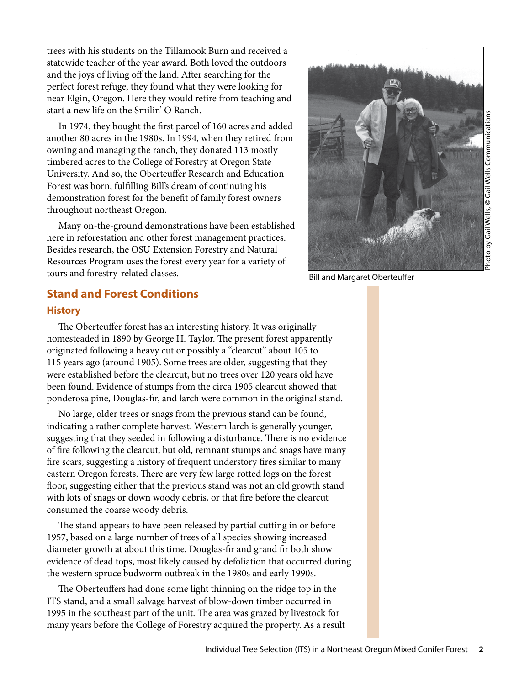trees with his students on the Tillamook Burn and received a statewide teacher of the year award. Both loved the outdoors and the joys of living off the land. After searching for the perfect forest refuge, they found what they were looking for near Elgin, Oregon. Here they would retire from teaching and start a new life on the Smilin' O Ranch.

In 1974, they bought the first parcel of 160 acres and added another 80 acres in the 1980s. In 1994, when they retired from owning and managing the ranch, they donated 113 mostly timbered acres to the College of Forestry at Oregon State University. And so, the Oberteuffer Research and Education Forest was born, fulfilling Bill's dream of continuing his demonstration forest for the benefit of family forest owners throughout northeast Oregon.

Many on-the-ground demonstrations have been established here in reforestation and other forest management practices. Besides research, the OSU Extension Forestry and Natural Resources Program uses the forest every year for a variety of tours and forestry-related classes.



Bill and Margaret Oberteuffer

## **Stand and Forest Conditions**

## **History**

The Oberteuffer forest has an interesting history. It was originally homesteaded in 1890 by George H. Taylor. The present forest apparently originated following a heavy cut or possibly a "clearcut" about 105 to 115 years ago (around 1905). Some trees are older, suggesting that they were established before the clearcut, but no trees over 120 years old have been found. Evidence of stumps from the circa 1905 clearcut showed that ponderosa pine, Douglas-fir, and larch were common in the original stand.

No large, older trees or snags from the previous stand can be found, indicating a rather complete harvest. Western larch is generally younger, suggesting that they seeded in following a disturbance. There is no evidence of fire following the clearcut, but old, remnant stumps and snags have many fire scars, suggesting a history of frequent understory fires similar to many eastern Oregon forests. There are very few large rotted logs on the forest floor, suggesting either that the previous stand was not an old growth stand with lots of snags or down woody debris, or that fire before the clearcut consumed the coarse woody debris.

The stand appears to have been released by partial cutting in or before 1957, based on a large number of trees of all species showing increased diameter growth at about this time. Douglas-fir and grand fir both show evidence of dead tops, most likely caused by defoliation that occurred during the western spruce budworm outbreak in the 1980s and early 1990s.

The Oberteuffers had done some light thinning on the ridge top in the ITS stand, and a small salvage harvest of blow-down timber occurred in 1995 in the southeast part of the unit. The area was grazed by livestock for many years before the College of Forestry acquired the property. As a result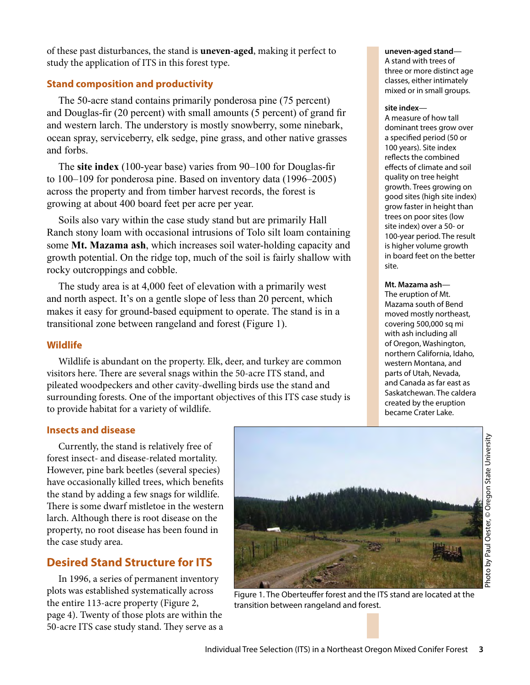of these past disturbances, the stand is **uneven-aged**, making it perfect to study the application of ITS in this forest type.

## **Stand composition and productivity**

The 50-acre stand contains primarily ponderosa pine (75 percent) and Douglas-fir (20 percent) with small amounts (5 percent) of grand fir and western larch. The understory is mostly snowberry, some ninebark, ocean spray, serviceberry, elk sedge, pine grass, and other native grasses and forbs.

The **site index** (100-year base) varies from 90–100 for Douglas-fir to 100–109 for ponderosa pine. Based on inventory data (1996–2005) across the property and from timber harvest records, the forest is growing at about 400 board feet per acre per year.

Soils also vary within the case study stand but are primarily Hall Ranch stony loam with occasional intrusions of Tolo silt loam containing some **Mt. Mazama ash**, which increases soil water-holding capacity and growth potential. On the ridge top, much of the soil is fairly shallow with rocky outcroppings and cobble.

The study area is at 4,000 feet of elevation with a primarily west and north aspect. It's on a gentle slope of less than 20 percent, which makes it easy for ground-based equipment to operate. The stand is in a transitional zone between rangeland and forest (Figure 1).

## **Wildlife**

Wildlife is abundant on the property. Elk, deer, and turkey are common visitors here. There are several snags within the 50-acre ITS stand, and pileated woodpeckers and other cavity-dwelling birds use the stand and surrounding forests. One of the important objectives of this ITS case study is to provide habitat for a variety of wildlife.

#### **uneven-aged stand**—

A stand with trees of three or more distinct age classes, either intimately mixed or in small groups.

#### **site index**—

A measure of how tall dominant trees grow over a specified period (50 or 100 years). Site index reflects the combined effects of climate and soil quality on tree height growth. Trees growing on good sites (high site index) grow faster in height than trees on poor sites (low site index) over a 50- or 100-year period. The result is higher volume growth in board feet on the better site.

#### **Mt. Mazama ash**—

The eruption of Mt. Mazama south of Bend moved mostly northeast, covering 500,000 sq mi with ash including all of Oregon, Washington, northern California, Idaho, western Montana, and parts of Utah, Nevada, and Canada as far east as Saskatchewan. The caldera created by the eruption became Crater Lake.

## **Insects and disease**

Currently, the stand is relatively free of forest insect- and disease-related mortality. However, pine bark beetles (several species) have occasionally killed trees, which benefits the stand by adding a few snags for wildlife. There is some dwarf mistletoe in the western larch. Although there is root disease on the property, no root disease has been found in the case study area.

# **Desired Stand Structure for ITS**

In 1996, a series of permanent inventory plots was established systematically across the entire 113-acre property (Figure 2, page 4). Twenty of those plots are within the 50-acre ITS case study stand. They serve as a



Figure 1. The Oberteuffer forest and the ITS stand are located at the transition between rangeland and forest.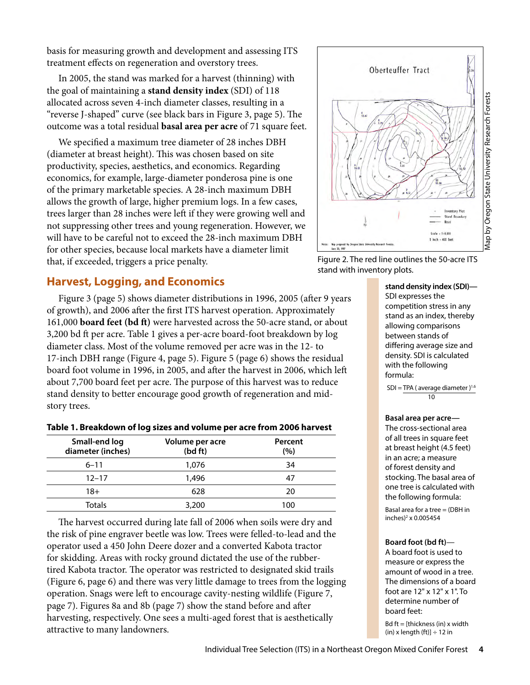basis for measuring growth and development and assessing ITS treatment effects on regeneration and overstory trees.

In 2005, the stand was marked for a harvest (thinning) with the goal of maintaining a **stand density index** (SDI) of 118 allocated across seven 4-inch diameter classes, resulting in a "reverse J-shaped" curve (see black bars in Figure 3, page 5). The outcome was a total residual **basal area per acre** of 71 square feet.

We specified a maximum tree diameter of 28 inches DBH (diameter at breast height). This was chosen based on site productivity, species, aesthetics, and economics. Regarding economics, for example, large-diameter ponderosa pine is one of the primary marketable species. A 28-inch maximum DBH allows the growth of large, higher premium logs. In a few cases, trees larger than 28 inches were left if they were growing well and not suppressing other trees and young regeneration. However, we will have to be careful not to exceed the 28-inch maximum DBH for other species, because local markets have a diameter limit that, if exceeded, triggers a price penalty.

# **Harvest, Logging, and Economics**

Figure 3 (page 5) shows diameter distributions in 1996, 2005 (after 9 years of growth), and 2006 after the first ITS harvest operation. Approximately 161,000 **board feet (bd ft)** were harvested across the 50-acre stand, or about 3,200 bd ft per acre. Table 1 gives a per-acre board-foot breakdown by log diameter class. Most of the volume removed per acre was in the 12- to 17-inch DBH range (Figure 4, page 5). Figure 5 (page 6) shows the residual board foot volume in 1996, in 2005, and after the harvest in 2006, which left about 7,700 board feet per acre. The purpose of this harvest was to reduce stand density to better encourage good growth of regeneration and midstory trees.

## **Table 1. Breakdown of log sizes and volume per acre from 2006 harvest**

| Small-end log<br>diameter (inches) | Volume per acre<br>(bd ft) | Percent<br>(%) |
|------------------------------------|----------------------------|----------------|
| $6 - 11$                           | 1.076                      | 34             |
| $12 - 17$                          | 1,496                      | 47             |
| 18+                                | 628                        | 20             |
| Totals                             | 3,200                      | 100            |

The harvest occurred during late fall of 2006 when soils were dry and the risk of pine engraver beetle was low. Trees were felled-to-lead and the operator used a 450 John Deere dozer and a converted Kabota tractor for skidding. Areas with rocky ground dictated the use of the rubbertired Kabota tractor. The operator was restricted to designated skid trails (Figure 6, page 6) and there was very little damage to trees from the logging operation. Snags were left to encourage cavity-nesting wildlife (Figure 7, page 7). Figures 8a and 8b (page 7) show the stand before and after harvesting, respectively. One sees a multi-aged forest that is aesthetically attractive to many landowners.



Figure 2. The red line outlines the 50-acre ITS stand with inventory plots.

**stand density index (SDI)—** SDI expresses the competition stress in any stand as an index, thereby allowing comparisons between stands of differing average size and density. SDI is calculated with the following formula:

 $SDI = TPA$  (average diameter)<sup>1.6</sup> 10

#### **Basal area per acre—**

The cross-sectional area of all trees in square feet at breast height (4.5 feet) in an acre; a measure of forest density and stocking. The basal area of one tree is calculated with the following formula:

Basal area for a tree = (DBH in inches)2 x 0.005454

#### **Board foot (bd ft)**—

A board foot is used to measure or express the amount of wood in a tree. The dimensions of a board foot are 12" x 12" x 1". To determine number of board feet:

Bd ft = [thickness (in) x width (in) x length (ft)]  $\div$  12 in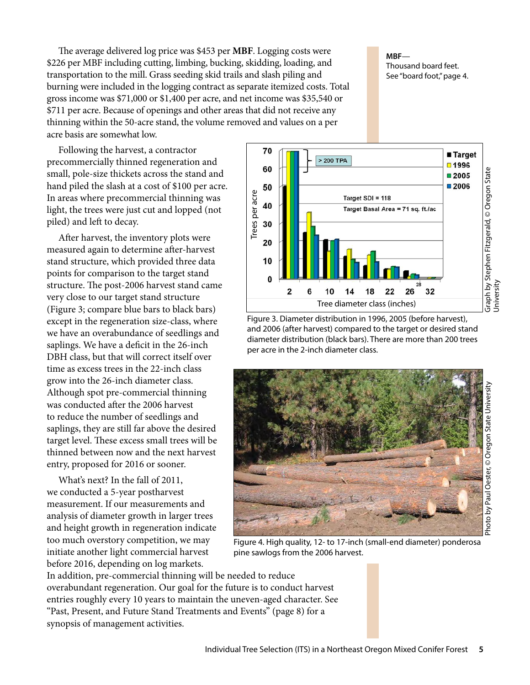The average delivered log price was \$453 per **MBF**. Logging costs were \$226 per MBF including cutting, limbing, bucking, skidding, loading, and transportation to the mill. Grass seeding skid trails and slash piling and burning were included in the logging contract as separate itemized costs. Total gross income was \$71,000 or \$1,400 per acre, and net income was \$35,540 or \$711 per acre. Because of openings and other areas that did not receive any thinning within the 50-acre stand, the volume removed and values on a per acre basis are somewhat low.

Following the harvest, a contractor precommercially thinned regeneration and small, pole-size thickets across the stand and hand piled the slash at a cost of \$100 per acre. In areas where precommercial thinning was light, the trees were just cut and lopped (not piled) and left to decay.

After harvest, the inventory plots were measured again to determine after-harvest stand structure, which provided three data points for comparison to the target stand structure. The post-2006 harvest stand came very close to our target stand structure (Figure 3; compare blue bars to black bars) except in the regeneration size-class, where we have an overabundance of seedlings and saplings. We have a deficit in the 26-inch DBH class, but that will correct itself over time as excess trees in the 22-inch class grow into the 26-inch diameter class. Although spot pre-commercial thinning was conducted after the 2006 harvest to reduce the number of seedlings and saplings, they are still far above the desired target level. These excess small trees will be thinned between now and the next harvest entry, proposed for 2016 or sooner.

What's next? In the fall of 2011, we conducted a 5-year postharvest measurement. If our measurements and analysis of diameter growth in larger trees and height growth in regeneration indicate too much overstory competition, we may initiate another light commercial harvest before 2016, depending on log markets.

synopsis of management activities.

In addition, pre-commercial thinning will be needed to reduce overabundant regeneration. Our goal for the future is to conduct harvest entries roughly every 10 years to maintain the uneven-aged character. See "Past, Present, and Future Stand Treatments and Events" (page 8) for a pine sawlogs from the 2006 harvest.

**MBF**— Thousand board feet. See "board foot," page 4.



Figure 3. Diameter distribution in 1996, 2005 (before harvest), and 2006 (after harvest) compared to the target or desired stand diameter distribution (black bars). There are more than 200 trees per acre in the 2-inch diameter class.



Figure 4. High quality, 12- to 17-inch (small-end diameter) ponderosa

Individual Tree Selection (ITS) in a Northeast Oregon Mixed Conifer Forest **5**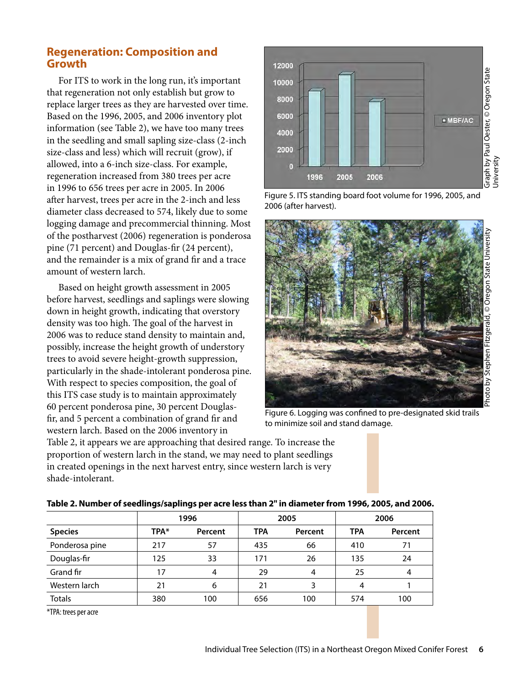# **Regeneration: Composition and Growth**

For ITS to work in the long run, it's important that regeneration not only establish but grow to replace larger trees as they are harvested over time. Based on the 1996, 2005, and 2006 inventory plot information (see Table 2), we have too many trees in the seedling and small sapling size-class (2-inch size-class and less) which will recruit (grow), if allowed, into a 6-inch size-class. For example, regeneration increased from 380 trees per acre in 1996 to 656 trees per acre in 2005. In 2006 after harvest, trees per acre in the 2-inch and less diameter class decreased to 574, likely due to some logging damage and precommercial thinning. Most of the postharvest (2006) regeneration is ponderosa pine (71 percent) and Douglas-fir (24 percent), and the remainder is a mix of grand fir and a trace amount of western larch.

Based on height growth assessment in 2005 before harvest, seedlings and saplings were slowing down in height growth, indicating that overstory density was too high. The goal of the harvest in 2006 was to reduce stand density to maintain and, possibly, increase the height growth of understory trees to avoid severe height-growth suppression, particularly in the shade-intolerant ponderosa pine. With respect to species composition, the goal of this ITS case study is to maintain approximately 60 percent ponderosa pine, 30 percent Douglasfir, and 5 percent a combination of grand fir and western larch. Based on the 2006 inventory in

Table 2, it appears we are approaching that desired range. To increase the proportion of western larch in the stand, we may need to plant seedlings in created openings in the next harvest entry, since western larch is very shade-intolerant.



Figure 5. ITS standing board foot volume for 1996, 2005, and 2006 (after harvest).



Figure 6. Logging was confined to pre-designated skid trails to minimize soil and stand damage.

|                | 1996 |         | 2005       |         | 2006       |         |
|----------------|------|---------|------------|---------|------------|---------|
| <b>Species</b> | TPA* | Percent | <b>TPA</b> | Percent | <b>TPA</b> | Percent |
| Ponderosa pine | 217  | 57      | 435        | 66      | 410        | 71      |
| Douglas-fir    | 125  | 33      | 171        | 26      | 135        | 24      |
| Grand fir      | 17   | 4       | 29         | 4       | 25         | 4       |
| Western larch  | 21   | 6       | 21         |         | 4          |         |
| <b>Totals</b>  | 380  | 100     | 656        | 100     | 574        | 100     |

### **Table 2. Number of seedlings/saplings per acre less than 2" in diameter from 1996, 2005, and 2006.**

\*TPA: trees per acre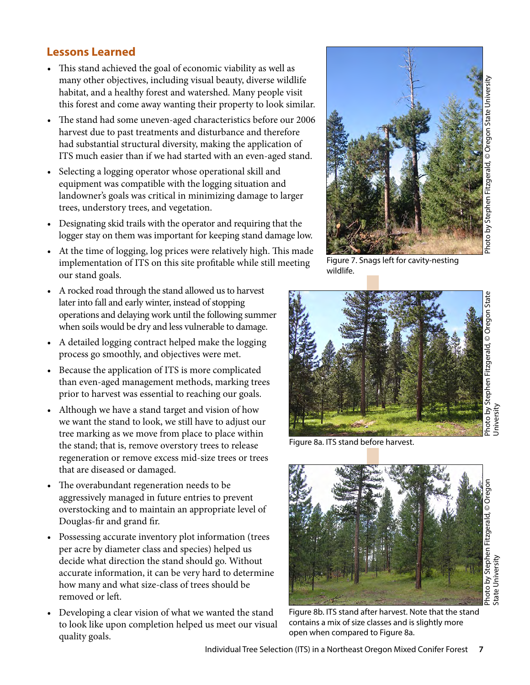# **Lessons Learned**

- This stand achieved the goal of economic viability as well as many other objectives, including visual beauty, diverse wildlife habitat, and a healthy forest and watershed. Many people visit this forest and come away wanting their property to look similar.
- The stand had some uneven-aged characteristics before our 2006 harvest due to past treatments and disturbance and therefore had substantial structural diversity, making the application of ITS much easier than if we had started with an even-aged stand.
- Selecting a logging operator whose operational skill and equipment was compatible with the logging situation and landowner's goals was critical in minimizing damage to larger trees, understory trees, and vegetation.
- Designating skid trails with the operator and requiring that the logger stay on them was important for keeping stand damage low.
- At the time of logging, log prices were relatively high. This made implementation of ITS on this site profitable while still meeting our stand goals.
- A rocked road through the stand allowed us to harvest later into fall and early winter, instead of stopping operations and delaying work until the following summer when soils would be dry and less vulnerable to damage.
- A detailed logging contract helped make the logging process go smoothly, and objectives were met.
- Because the application of ITS is more complicated than even-aged management methods, marking trees prior to harvest was essential to reaching our goals.
- Although we have a stand target and vision of how we want the stand to look, we still have to adjust our tree marking as we move from place to place within the stand; that is, remove overstory trees to release regeneration or remove excess mid-size trees or trees that are diseased or damaged.
- The overabundant regeneration needs to be aggressively managed in future entries to prevent overstocking and to maintain an appropriate level of Douglas-fir and grand fir.
- Possessing accurate inventory plot information (trees per acre by diameter class and species) helped us decide what direction the stand should go. Without accurate information, it can be very hard to determine how many and what size-class of trees should be removed or left.
- Developing a clear vision of what we wanted the stand to look like upon completion helped us meet our visual quality goals.



Figure 7. Snags left for cavity-nesting wildlife.



Figure 8a. ITS stand before harvest.



State University

Figure 8b. ITS stand after harvest. Note that the stand contains a mix of size classes and is slightly more open when compared to Figure 8a.